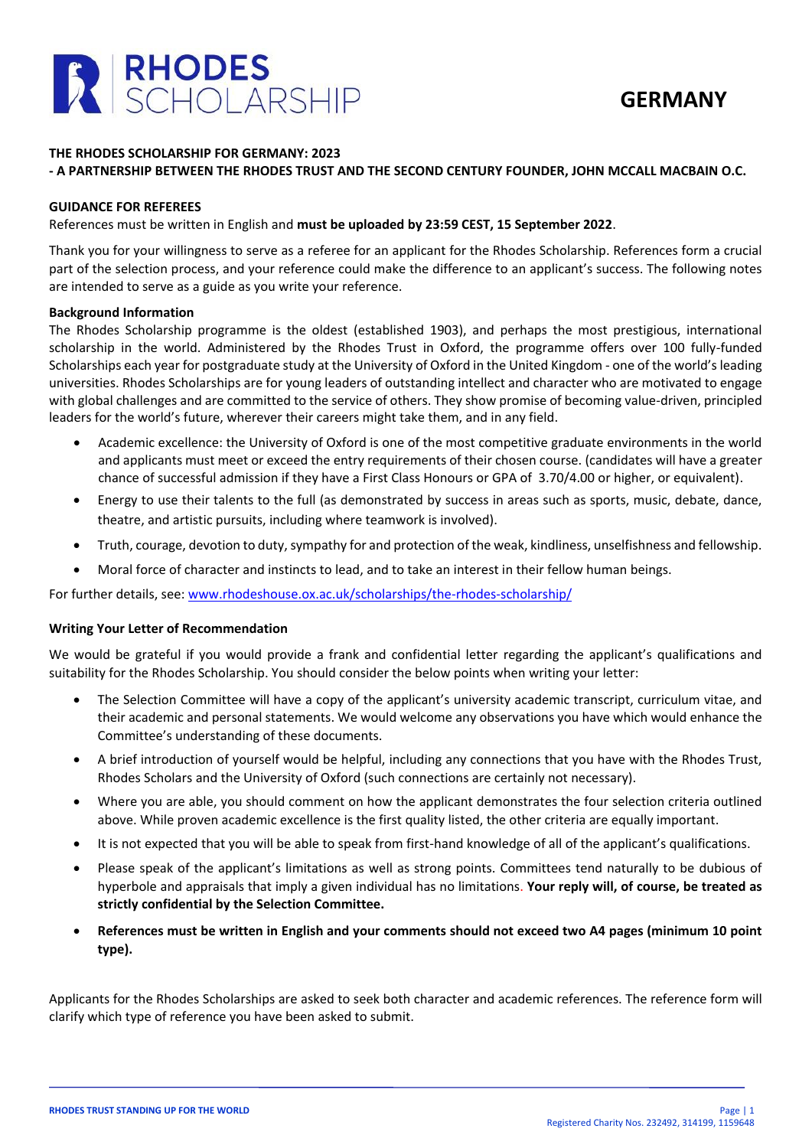



#### **THE RHODES SCHOLARSHIP FOR GERMANY: 2023**

#### **- A PARTNERSHIP BETWEEN THE RHODES TRUST AND THE SECOND CENTURY FOUNDER, JOHN MCCALL MACBAIN O.C.**

#### **GUIDANCE FOR REFEREES**

References must be written in English and **must be uploaded by 23:59 CEST, 15 September 2022**.

Thank you for your willingness to serve as a referee for an applicant for the Rhodes Scholarship. References form a crucial part of the selection process, and your reference could make the difference to an applicant's success. The following notes are intended to serve as a guide as you write your reference.

#### **Background Information**

The Rhodes Scholarship programme is the oldest (established 1903), and perhaps the most prestigious, international scholarship in the world. Administered by the Rhodes Trust in Oxford, the programme offers over 100 fully-funded Scholarships each year for postgraduate study at the University of Oxford in the United Kingdom - one of the world's leading universities. Rhodes Scholarships are for young leaders of outstanding intellect and character who are motivated to engage with global challenges and are committed to the service of others. They show promise of becoming value-driven, principled leaders for the world's future, wherever their careers might take them, and in any field.

- Academic excellence: the University of Oxford is one of the most competitive graduate environments in the world and applicants must meet or exceed the entry requirements of their chosen course. (candidates will have a greater chance of successful admission if they have a First Class Honours or GPA of 3.70/4.00 or higher, or equivalent).
- Energy to use their talents to the full (as demonstrated by success in areas such as sports, music, debate, dance, theatre, and artistic pursuits, including where teamwork is involved).
- Truth, courage, devotion to duty, sympathy for and protection of the weak, kindliness, unselfishness and fellowship.
- Moral force of character and instincts to lead, and to take an interest in their fellow human beings.

For further details, see: [www.rhodeshouse.ox.ac.uk/scholarships/the-rhodes-scholarship/](http://www.rhodeshouse.ox.ac.uk/scholarships/the-rhodes-scholarship/)

## **Writing Your Letter of Recommendation**

We would be grateful if you would provide a frank and confidential letter regarding the applicant's qualifications and suitability for the Rhodes Scholarship. You should consider the below points when writing your letter:

- The Selection Committee will have a copy of the applicant's university academic transcript, curriculum vitae, and their academic and personal statements. We would welcome any observations you have which would enhance the Committee's understanding of these documents.
- A brief introduction of yourself would be helpful, including any connections that you have with the Rhodes Trust, Rhodes Scholars and the University of Oxford (such connections are certainly not necessary).
- Where you are able, you should comment on how the applicant demonstrates the four selection criteria outlined above. While proven academic excellence is the first quality listed, the other criteria are equally important.
- It is not expected that you will be able to speak from first-hand knowledge of all of the applicant's qualifications.
- Please speak of the applicant's limitations as well as strong points. Committees tend naturally to be dubious of hyperbole and appraisals that imply a given individual has no limitations. **Your reply will, of course, be treated as strictly confidential by the Selection Committee.**
- **References must be written in English and your comments should not exceed two A4 pages (minimum 10 point type).**

Applicants for the Rhodes Scholarships are asked to seek both character and academic references. The reference form will clarify which type of reference you have been asked to submit.